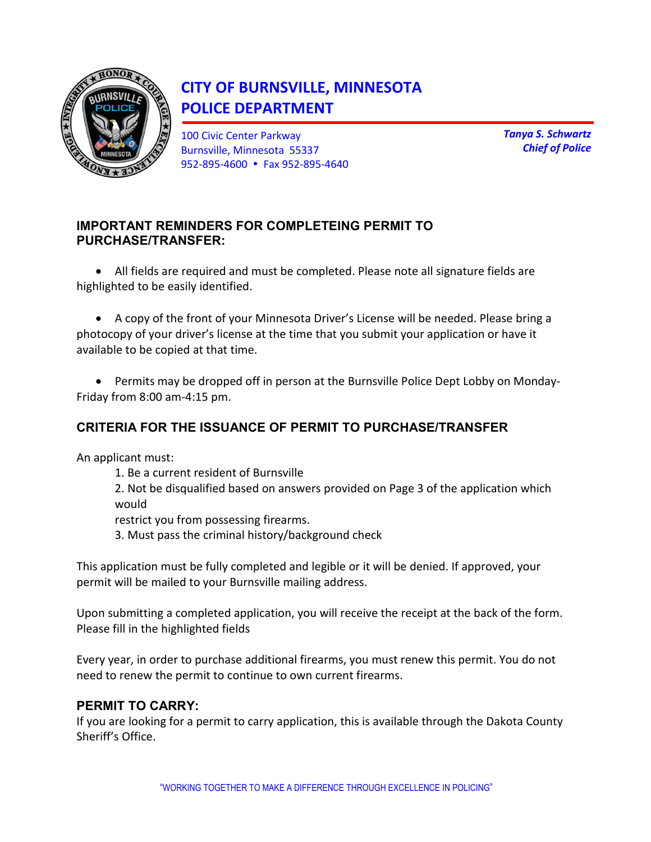

# **CITY OF BURNSVILLE, MINNESOTA POLICE DEPARTMENT**

100 Civic Center Parkway Burnsville, Minnesota 55337 952-895-4600 Fax 952-895-4640 *Tanya S. Schwartz Chief of Police*

## **IMPORTANT REMINDERS FOR COMPLETEING PERMIT TO PURCHASE/TRANSFER:**

• All fields are required and must be completed. Please note all signature fields are highlighted to be easily identified.

• A copy of the front of your Minnesota Driver's License will be needed. Please bring a photocopy of your driver's license at the time that you submit your application or have it available to be copied at that time.

• Permits may be dropped off in person at the Burnsville Police Dept Lobby on Monday-Friday from 8:00 am-4:15 pm.

## **CRITERIA FOR THE ISSUANCE OF PERMIT TO PURCHASE/TRANSFER**

An applicant must:

- 1. Be a current resident of Burnsville
- 2. Not be disqualified based on answers provided on Page 3 of the application which would

restrict you from possessing firearms.

3. Must pass the criminal history/background check

This application must be fully completed and legible or it will be denied. If approved, your permit will be mailed to your Burnsville mailing address.

Upon submitting a completed application, you will receive the receipt at the back of the form. Please fill in the highlighted fields

Every year, in order to purchase additional firearms, you must renew this permit. You do not need to renew the permit to continue to own current firearms.

## **PERMIT TO CARRY:**

If you are looking for a permit to carry application, this is available through the Dakota County Sheriff's Office.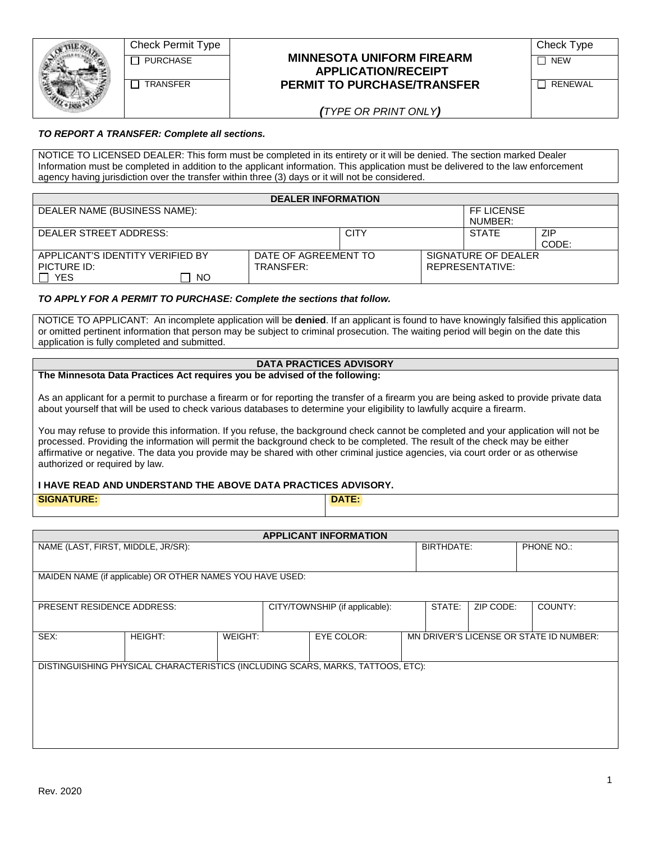| Check Permit Type |                                    | Check Type |
|-------------------|------------------------------------|------------|
| PURCHASE          | <b>MINNESOTA UNIFORM FIREARM</b>   | <b>NEW</b> |
|                   | <b>APPLICATION/RECEIPT</b>         |            |
| <b>TRANSFER</b>   | <b>PERMIT TO PURCHASE/TRANSFER</b> | RENEWAL    |
|                   | $\sqrt{1}$                         |            |

| Check Type |  |
|------------|--|
|            |  |

*(TYPE OR PRINT ONLY)*

#### *TO REPORT A TRANSFER: Complete all sections.*

NOTICE TO LICENSED DEALER: This form must be completed in its entirety or it will be denied. The section marked Dealer Information must be completed in addition to the applicant information. This application must be delivered to the law enforcement agency having jurisdiction over the transfer within three (3) days or it will not be considered.

| <b>DEALER INFORMATION</b>        |                      |             |  |                     |            |
|----------------------------------|----------------------|-------------|--|---------------------|------------|
| DEALER NAME (BUSINESS NAME):     |                      |             |  | FF LICENSE          |            |
|                                  |                      |             |  | NUMBER:             |            |
| DEALER STREET ADDRESS:           |                      | <b>CITY</b> |  | <b>STATE</b>        | <b>ZIP</b> |
|                                  |                      |             |  |                     | CODE:      |
| APPLICANT'S IDENTITY VERIFIED BY | DATE OF AGREEMENT TO |             |  | SIGNATURE OF DEALER |            |
| PICTURE ID:                      | TRANSFER:            |             |  | REPRESENTATIVE:     |            |
| <b>YES</b><br><b>NO</b>          |                      |             |  |                     |            |

#### *TO APPLY FOR A PERMIT TO PURCHASE: Complete the sections that follow.*

NOTICE TO APPLICANT: An incomplete application will be **denied**. If an applicant is found to have knowingly falsified this application or omitted pertinent information that person may be subject to criminal prosecution. The waiting period will begin on the date this application is fully completed and submitted.

### **DATA PRACTICES ADVISORY**

#### **The Minnesota Data Practices Act requires you be advised of the following:**

As an applicant for a permit to purchase a firearm or for reporting the transfer of a firearm you are being asked to provide private data about yourself that will be used to check various databases to determine your eligibility to lawfully acquire a firearm.

You may refuse to provide this information. If you refuse, the background check cannot be completed and your application will not be processed. Providing the information will permit the background check to be completed. The result of the check may be either affirmative or negative. The data you provide may be shared with other criminal justice agencies, via court order or as otherwise authorized or required by law.

#### **I HAVE READ AND UNDERSTAND THE ABOVE DATA PRACTICES ADVISORY.**

**SIGNATURE: DATE:**

| <b>APPLICANT INFORMATION</b>       |                                                           |         |  |                                                                                 |  |            |           |                                         |
|------------------------------------|-----------------------------------------------------------|---------|--|---------------------------------------------------------------------------------|--|------------|-----------|-----------------------------------------|
| NAME (LAST, FIRST, MIDDLE, JR/SR): |                                                           |         |  |                                                                                 |  | BIRTHDATE: |           | PHONE NO.:                              |
|                                    |                                                           |         |  |                                                                                 |  |            |           |                                         |
|                                    | MAIDEN NAME (if applicable) OR OTHER NAMES YOU HAVE USED: |         |  |                                                                                 |  |            |           |                                         |
|                                    |                                                           |         |  |                                                                                 |  |            |           |                                         |
| <b>PRESENT RESIDENCE ADDRESS:</b>  |                                                           |         |  | CITY/TOWNSHIP (if applicable):                                                  |  | STATE:     | ZIP CODE: | COUNTY:                                 |
|                                    |                                                           |         |  |                                                                                 |  |            |           |                                         |
| SEX:                               | <b>HEIGHT:</b>                                            | WEIGHT: |  | EYE COLOR:                                                                      |  |            |           | MN DRIVER'S LICENSE OR STATE ID NUMBER: |
|                                    |                                                           |         |  |                                                                                 |  |            |           |                                         |
|                                    |                                                           |         |  | DISTINGUISHING PHYSICAL CHARACTERISTICS (INCLUDING SCARS, MARKS, TATTOOS, ETC): |  |            |           |                                         |
|                                    |                                                           |         |  |                                                                                 |  |            |           |                                         |
|                                    |                                                           |         |  |                                                                                 |  |            |           |                                         |
|                                    |                                                           |         |  |                                                                                 |  |            |           |                                         |
|                                    |                                                           |         |  |                                                                                 |  |            |           |                                         |
|                                    |                                                           |         |  |                                                                                 |  |            |           |                                         |
|                                    |                                                           |         |  |                                                                                 |  |            |           |                                         |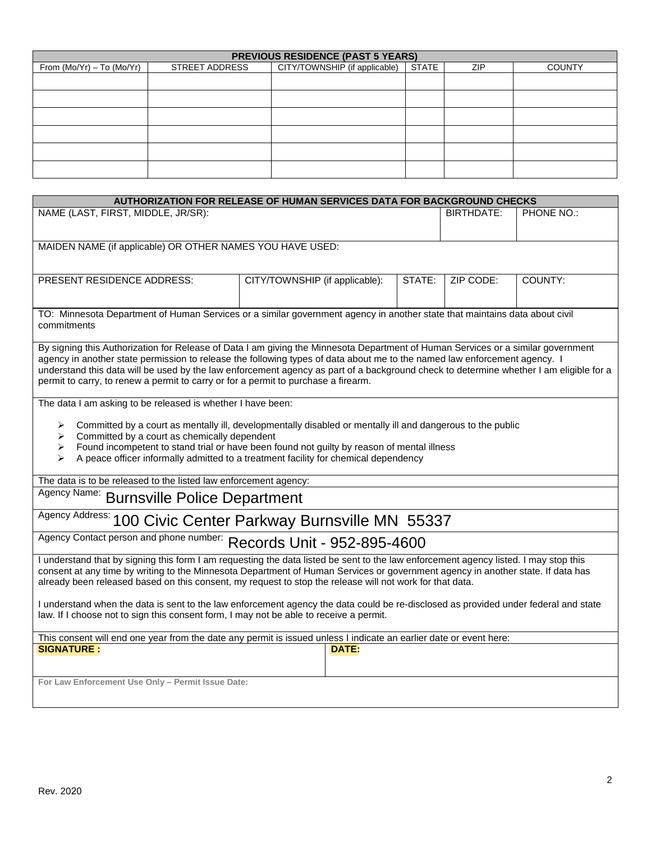| <b>PREVIOUS RESIDENCE (PAST 5 YEARS)</b> |                       |                               |              |     |               |
|------------------------------------------|-----------------------|-------------------------------|--------------|-----|---------------|
| From $(Mo/Yr) - To (Mo/Yr)$              | <b>STREET ADDRESS</b> | CITY/TOWNSHIP (if applicable) | <b>STATE</b> | ZIP | <b>COUNTY</b> |
|                                          |                       |                               |              |     |               |
|                                          |                       |                               |              |     |               |
|                                          |                       |                               |              |     |               |
|                                          |                       |                               |              |     |               |
|                                          |                       |                               |              |     |               |
|                                          |                       |                               |              |     |               |

| AUTHORIZATION FOR RELEASE OF HUMAN SERVICES DATA FOR BACKGROUND CHECKS                                                                                                                                                                                                                                                                                                                                                                                                                                                     |                                                                                                                                                                                                                                                                                                                                                                                                                                                                                               |  |            |            |  |  |
|----------------------------------------------------------------------------------------------------------------------------------------------------------------------------------------------------------------------------------------------------------------------------------------------------------------------------------------------------------------------------------------------------------------------------------------------------------------------------------------------------------------------------|-----------------------------------------------------------------------------------------------------------------------------------------------------------------------------------------------------------------------------------------------------------------------------------------------------------------------------------------------------------------------------------------------------------------------------------------------------------------------------------------------|--|------------|------------|--|--|
| NAME (LAST, FIRST, MIDDLE, JR/SR):                                                                                                                                                                                                                                                                                                                                                                                                                                                                                         |                                                                                                                                                                                                                                                                                                                                                                                                                                                                                               |  | BIRTHDATE: | PHONE NO.: |  |  |
| MAIDEN NAME (if applicable) OR OTHER NAMES YOU HAVE USED:                                                                                                                                                                                                                                                                                                                                                                                                                                                                  |                                                                                                                                                                                                                                                                                                                                                                                                                                                                                               |  |            |            |  |  |
| PRESENT RESIDENCE ADDRESS:                                                                                                                                                                                                                                                                                                                                                                                                                                                                                                 | CITY/TOWNSHIP (if applicable):<br>STATE:<br>ZIP CODE:<br>COUNTY:                                                                                                                                                                                                                                                                                                                                                                                                                              |  |            |            |  |  |
| TO: Minnesota Department of Human Services or a similar government agency in another state that maintains data about civil<br>commitments                                                                                                                                                                                                                                                                                                                                                                                  |                                                                                                                                                                                                                                                                                                                                                                                                                                                                                               |  |            |            |  |  |
|                                                                                                                                                                                                                                                                                                                                                                                                                                                                                                                            | By signing this Authorization for Release of Data I am giving the Minnesota Department of Human Services or a similar government<br>agency in another state permission to release the following types of data about me to the named law enforcement agency. I<br>understand this data will be used by the law enforcement agency as part of a background check to determine whether I am eligible for a<br>permit to carry, to renew a permit to carry or for a permit to purchase a firearm. |  |            |            |  |  |
| The data I am asking to be released is whether I have been:<br>Committed by a court as mentally ill, developmentally disabled or mentally ill and dangerous to the public<br>➤<br>➤<br>Committed by a court as chemically dependent<br>Found incompetent to stand trial or have been found not guilty by reason of mental illness<br>➤<br>A peace officer informally admitted to a treatment facility for chemical dependency<br>⋗                                                                                         |                                                                                                                                                                                                                                                                                                                                                                                                                                                                                               |  |            |            |  |  |
| The data is to be released to the listed law enforcement agency:                                                                                                                                                                                                                                                                                                                                                                                                                                                           |                                                                                                                                                                                                                                                                                                                                                                                                                                                                                               |  |            |            |  |  |
| Agency Name: Burnsville Police Department                                                                                                                                                                                                                                                                                                                                                                                                                                                                                  |                                                                                                                                                                                                                                                                                                                                                                                                                                                                                               |  |            |            |  |  |
| Agency Address: 100 Civic Center Parkway Burnsville MN 55337                                                                                                                                                                                                                                                                                                                                                                                                                                                               |                                                                                                                                                                                                                                                                                                                                                                                                                                                                                               |  |            |            |  |  |
| Agency Contact person and phone number: Records Unit - 952-895-4600                                                                                                                                                                                                                                                                                                                                                                                                                                                        |                                                                                                                                                                                                                                                                                                                                                                                                                                                                                               |  |            |            |  |  |
| I understand that by signing this form I am requesting the data listed be sent to the law enforcement agency listed. I may stop this<br>consent at any time by writing to the Minnesota Department of Human Services or government agency in another state. If data has<br>already been released based on this consent, my request to stop the release will not work for that data.<br>I understand when the data is sent to the law enforcement agency the data could be re-disclosed as provided under federal and state |                                                                                                                                                                                                                                                                                                                                                                                                                                                                                               |  |            |            |  |  |
| law. If I choose not to sign this consent form, I may not be able to receive a permit.                                                                                                                                                                                                                                                                                                                                                                                                                                     |                                                                                                                                                                                                                                                                                                                                                                                                                                                                                               |  |            |            |  |  |
| This consent will end one year from the date any permit is issued unless I indicate an earlier date or event here:                                                                                                                                                                                                                                                                                                                                                                                                         |                                                                                                                                                                                                                                                                                                                                                                                                                                                                                               |  |            |            |  |  |
| <b>SIGNATURE:</b>                                                                                                                                                                                                                                                                                                                                                                                                                                                                                                          | <b>DATE:</b>                                                                                                                                                                                                                                                                                                                                                                                                                                                                                  |  |            |            |  |  |
| For Law Enforcement Use Only - Permit Issue Date:                                                                                                                                                                                                                                                                                                                                                                                                                                                                          |                                                                                                                                                                                                                                                                                                                                                                                                                                                                                               |  |            |            |  |  |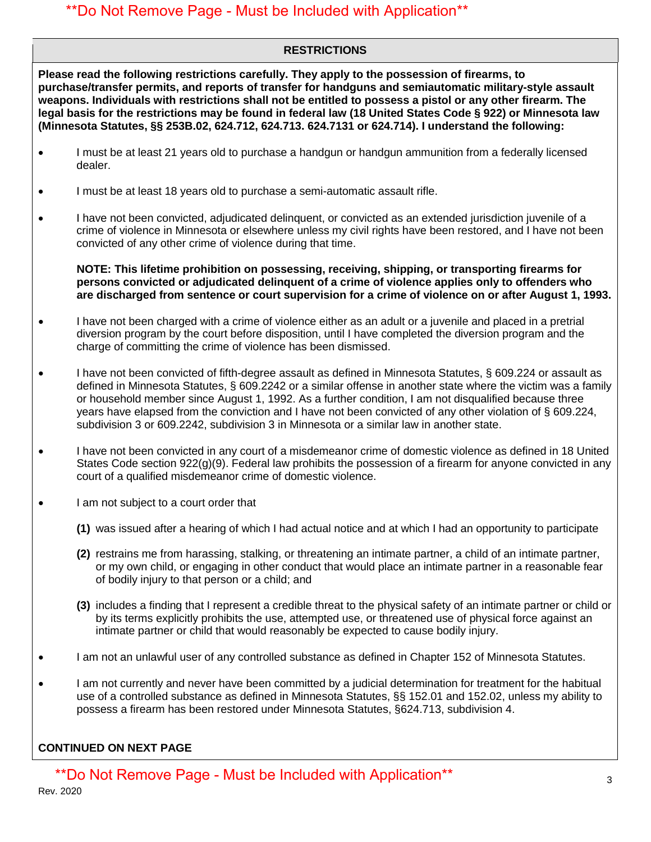## \*\*Do Not Remove Page - Must be Included with Application\*\*

### **RESTRICTIONS**

**Please read the following restrictions carefully. They apply to the possession of firearms, to purchase/transfer permits, and reports of transfer for handguns and semiautomatic military-style assault weapons. Individuals with restrictions shall not be entitled to possess a pistol or any other firearm. The legal basis for the restrictions may be found in federal law (18 United States Code § 922) or Minnesota law (Minnesota Statutes, §§ 253B.02, 624.712, 624.713. 624.7131 or 624.714). I understand the following:**

- I must be at least 21 years old to purchase a handgun or handgun ammunition from a federally licensed dealer.
- I must be at least 18 years old to purchase a semi-automatic assault rifle.
- I have not been convicted, adjudicated delinquent, or convicted as an extended jurisdiction juvenile of a crime of violence in Minnesota or elsewhere unless my civil rights have been restored, and I have not been convicted of any other crime of violence during that time.

**NOTE: This lifetime prohibition on possessing, receiving, shipping, or transporting firearms for persons convicted or adjudicated delinquent of a crime of violence applies only to offenders who are discharged from sentence or court supervision for a crime of violence on or after August 1, 1993.**

- I have not been charged with a crime of violence either as an adult or a juvenile and placed in a pretrial diversion program by the court before disposition, until I have completed the diversion program and the charge of committing the crime of violence has been dismissed.
- I have not been convicted of fifth-degree assault as defined in Minnesota Statutes, § 609.224 or assault as defined in Minnesota Statutes, § 609.2242 or a similar offense in another state where the victim was a family or household member since August 1, 1992. As a further condition, I am not disqualified because three years have elapsed from the conviction and I have not been convicted of any other violation of § 609.224, subdivision 3 or 609.2242, subdivision 3 in Minnesota or a similar law in another state.
- I have not been convicted in any court of a misdemeanor crime of domestic violence as defined in 18 United States Code section 922(g)(9). Federal law prohibits the possession of a firearm for anyone convicted in any court of a qualified misdemeanor crime of domestic violence.
- I am not subject to a court order that
	- **(1)** was issued after a hearing of which I had actual notice and at which I had an opportunity to participate
	- **(2)** restrains me from harassing, stalking, or threatening an intimate partner, a child of an intimate partner, or my own child, or engaging in other conduct that would place an intimate partner in a reasonable fear of bodily injury to that person or a child; and
	- **(3)** includes a finding that I represent a credible threat to the physical safety of an intimate partner or child or by its terms explicitly prohibits the use, attempted use, or threatened use of physical force against an intimate partner or child that would reasonably be expected to cause bodily injury.
- I am not an unlawful user of any controlled substance as defined in Chapter 152 of Minnesota Statutes.
- I am not currently and never have been committed by a judicial determination for treatment for the habitual use of a controlled substance as defined in Minnesota Statutes, §§ 152.01 and 152.02, unless my ability to possess a firearm has been restored under Minnesota Statutes, §624.713, subdivision 4.

### **CONTINUED ON NEXT PAGE**

\*\*Do Not Remove Page - Must be Included with Application\*\*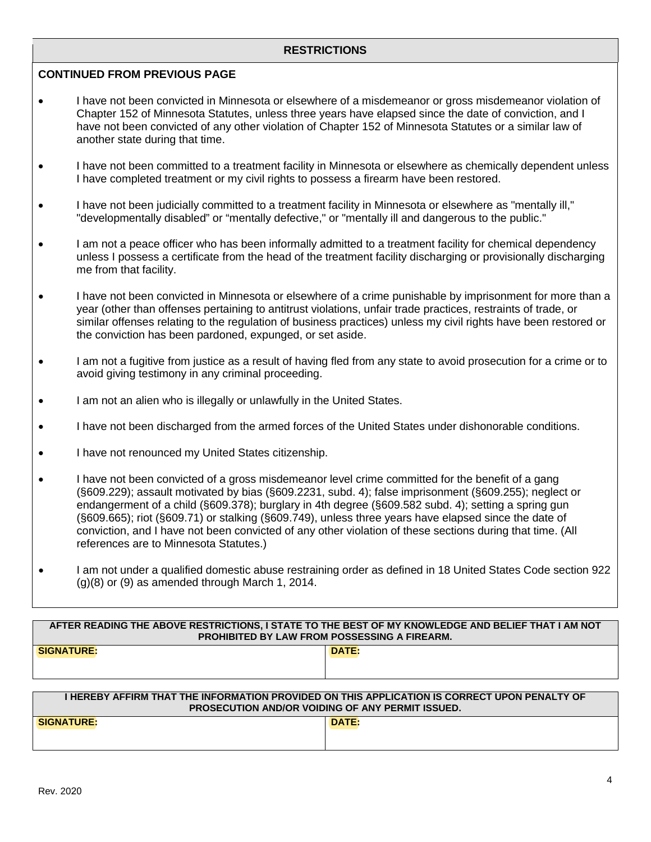#### **RESTRICTIONS**

#### **CONTINUED FROM PREVIOUS PAGE**

- I have not been convicted in Minnesota or elsewhere of a misdemeanor or gross misdemeanor violation of Chapter 152 of Minnesota Statutes, unless three years have elapsed since the date of conviction, and I have not been convicted of any other violation of Chapter 152 of Minnesota Statutes or a similar law of another state during that time.
- I have not been committed to a treatment facility in Minnesota or elsewhere as chemically dependent unless I have completed treatment or my civil rights to possess a firearm have been restored.
- I have not been judicially committed to a treatment facility in Minnesota or elsewhere as "mentally ill," "developmentally disabled" or "mentally defective," or "mentally ill and dangerous to the public."
- I am not a peace officer who has been informally admitted to a treatment facility for chemical dependency unless I possess a certificate from the head of the treatment facility discharging or provisionally discharging me from that facility.
- I have not been convicted in Minnesota or elsewhere of a crime punishable by imprisonment for more than a year (other than offenses pertaining to antitrust violations, unfair trade practices, restraints of trade, or similar offenses relating to the regulation of business practices) unless my civil rights have been restored or the conviction has been pardoned, expunged, or set aside.
- I am not a fugitive from justice as a result of having fled from any state to avoid prosecution for a crime or to avoid giving testimony in any criminal proceeding.
- I am not an alien who is illegally or unlawfully in the United States.
- I have not been discharged from the armed forces of the United States under dishonorable conditions.
- I have not renounced my United States citizenship.
- I have not been convicted of a gross misdemeanor level crime committed for the benefit of a gang (§609.229); assault motivated by bias (§609.2231, subd. 4); false imprisonment (§609.255); neglect or endangerment of a child (§609.378); burglary in 4th degree (§609.582 subd. 4); setting a spring gun (§609.665); riot (§609.71) or stalking (§609.749), unless three years have elapsed since the date of conviction, and I have not been convicted of any other violation of these sections during that time. (All references are to Minnesota Statutes.)
- I am not under a qualified domestic abuse restraining order as defined in 18 United States Code section 922  $(g)(8)$  or  $(9)$  as amended through March 1, 2014.

| -----------                                         |                                                                                                    |  |  |  |
|-----------------------------------------------------|----------------------------------------------------------------------------------------------------|--|--|--|
| <b>PROHIBITED BY LAW FROM POSSESSING A FIREARM.</b> |                                                                                                    |  |  |  |
|                                                     | AFTER READING THE ABOVE RESTRICTIONS, I STATE TO THE BEST OF MY KNOWLEDGE AND BELIEF THAT I AM NOT |  |  |  |
|                                                     |                                                                                                    |  |  |  |

| <b>SIGNATURE:</b> | DATE: |
|-------------------|-------|
|                   |       |
|                   |       |
|                   |       |

| I HEREBY AFFIRM THAT THE INFORMATION PROVIDED ON THIS APPLICATION IS CORRECT UPON PENALTY OF<br><b>PROSECUTION AND/OR VOIDING OF ANY PERMIT ISSUED.</b> |       |  |  |  |
|---------------------------------------------------------------------------------------------------------------------------------------------------------|-------|--|--|--|
| <b>SIGNATURE:</b>                                                                                                                                       | DATE: |  |  |  |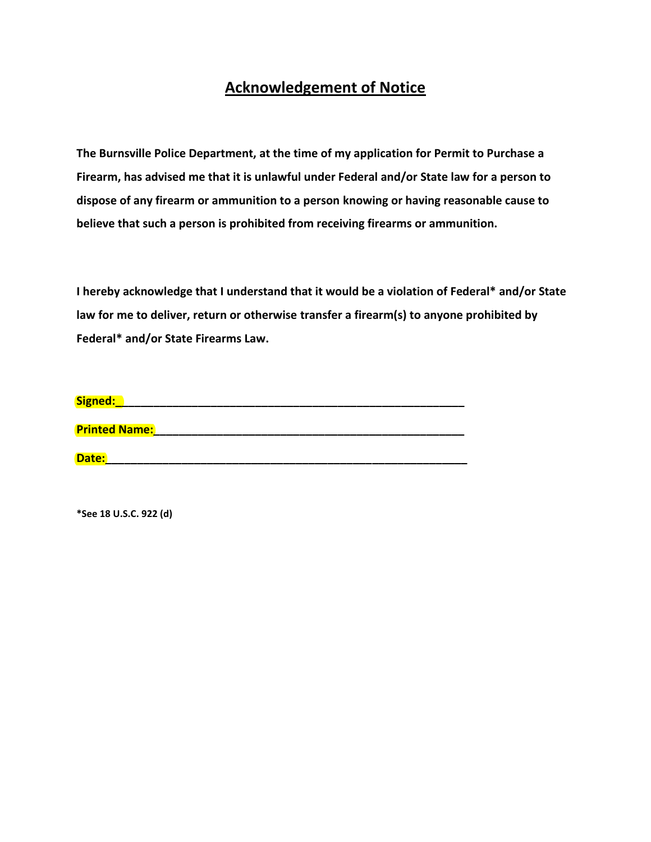# **Acknowledgement of Notice**

**The Burnsville Police Department, at the time of my application for Permit to Purchase a Firearm, has advised me that it is unlawful under Federal and/or State law for a person to dispose of any firearm or ammunition to a person knowing or having reasonable cause to believe that such a person is prohibited from receiving firearms or ammunition.** 

**I hereby acknowledge that I understand that it would be a violation of Federal\* and/or State law for me to deliver, return or otherwise transfer a firearm(s) to anyone prohibited by Federal\* and/or State Firearms Law.** 

| Signed:              |  |  |
|----------------------|--|--|
|                      |  |  |
| <b>Printed Name:</b> |  |  |
|                      |  |  |

**Date:\_\_\_\_\_\_\_\_\_\_\_\_\_\_\_\_\_\_\_\_\_\_\_\_\_\_\_\_\_\_\_\_\_\_\_\_\_\_\_\_\_\_\_\_\_\_\_\_\_\_\_\_\_\_\_\_\_** 

**\*See 18 U.S.C. 922 (d)**